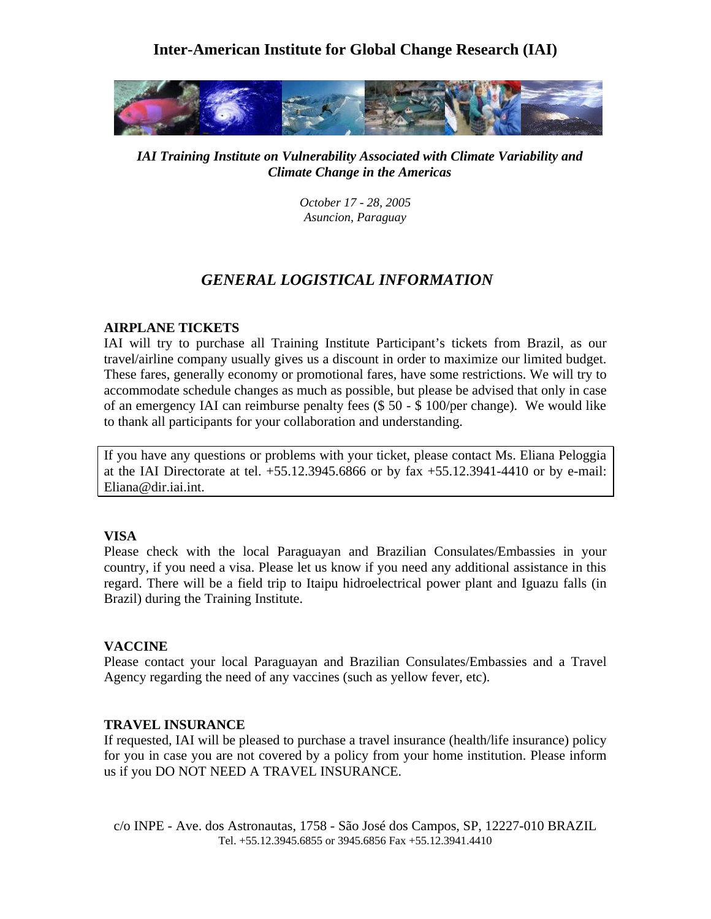# **Inter-American Institute for Global Change Research (IAI)**



*IAI Training Institute on Vulnerability Associated with Climate Variability and Climate Change in the Americas* 

> *October 17 - 28, 2005 Asuncion, Paraguay*

# *GENERAL LOGISTICAL INFORMATION*

## **AIRPLANE TICKETS**

IAI will try to purchase all Training Institute Participant's tickets from Brazil, as our travel/airline company usually gives us a discount in order to maximize our limited budget. These fares, generally economy or promotional fares, have some restrictions. We will try to accommodate schedule changes as much as possible, but please be advised that only in case of an emergency IAI can reimburse penalty fees (\$ 50 - \$ 100/per change). We would like to thank all participants for your collaboration and understanding.

If you have any questions or problems with your ticket, please contact Ms. Eliana Peloggia at the IAI Directorate at tel. +55.12.3945.6866 or by fax +55.12.3941-4410 or by e-mail: Eliana@dir.iai.int.

# **VISA**

Please check with the local Paraguayan and Brazilian Consulates/Embassies in your country, if you need a visa. Please let us know if you need any additional assistance in this regard. There will be a field trip to Itaipu hidroelectrical power plant and Iguazu falls (in Brazil) during the Training Institute.

#### **VACCINE**

Please contact your local Paraguayan and Brazilian Consulates/Embassies and a Travel Agency regarding the need of any vaccines (such as yellow fever, etc).

# **TRAVEL INSURANCE**

If requested, IAI will be pleased to purchase a travel insurance (health/life insurance) policy for you in case you are not covered by a policy from your home institution. Please inform us if you DO NOT NEED A TRAVEL INSURANCE.

c/o INPE - Ave. dos Astronautas, 1758 - São José dos Campos, SP, 12227-010 BRAZIL Tel. +55.12.3945.6855 or 3945.6856 Fax +55.12.3941.4410